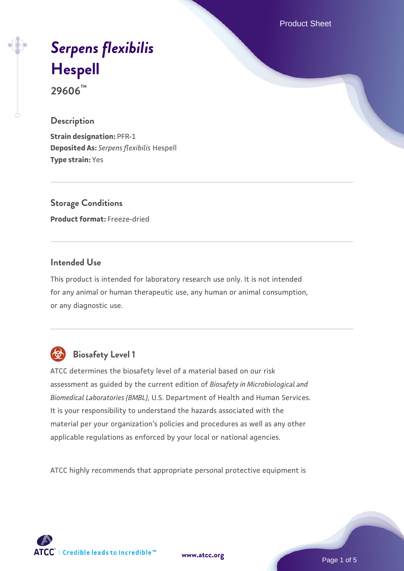Product Sheet

# *[Serpens flexibilis](https://www.atcc.org/products/29606)* **[Hespell](https://www.atcc.org/products/29606)**

**29606™**

## **Description**

**Strain designation:** PFR-1 **Deposited As:** *Serpens flexibilis* Hespell **Type strain:** Yes

**Storage Conditions Product format:** Freeze-dried

## **Intended Use**

This product is intended for laboratory research use only. It is not intended for any animal or human therapeutic use, any human or animal consumption, or any diagnostic use.



## **Biosafety Level 1**

ATCC determines the biosafety level of a material based on our risk assessment as guided by the current edition of *Biosafety in Microbiological and Biomedical Laboratories (BMBL)*, U.S. Department of Health and Human Services. It is your responsibility to understand the hazards associated with the material per your organization's policies and procedures as well as any other applicable regulations as enforced by your local or national agencies.

ATCC highly recommends that appropriate personal protective equipment is

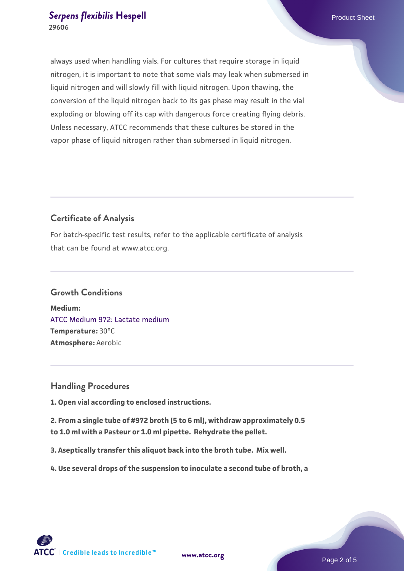always used when handling vials. For cultures that require storage in liquid nitrogen, it is important to note that some vials may leak when submersed in liquid nitrogen and will slowly fill with liquid nitrogen. Upon thawing, the conversion of the liquid nitrogen back to its gas phase may result in the vial exploding or blowing off its cap with dangerous force creating flying debris. Unless necessary, ATCC recommends that these cultures be stored in the vapor phase of liquid nitrogen rather than submersed in liquid nitrogen.

## **Certificate of Analysis**

For batch-specific test results, refer to the applicable certificate of analysis that can be found at www.atcc.org.

#### **Growth Conditions**

**Medium:**  [ATCC Medium 972: Lactate medium](https://www.atcc.org/-/media/product-assets/documents/microbial-media-formulations/7/2/atcc-medium-972.pdf?rev=e8e16f70026a4bbf9a43dab589896674) **Temperature:** 30°C **Atmosphere:** Aerobic

#### **Handling Procedures**

**1. Open vial according to enclosed instructions.**

**2. From a single tube of #972 broth (5 to 6 ml), withdraw approximately 0.5 to 1.0 ml with a Pasteur or 1.0 ml pipette. Rehydrate the pellet.**

**3. Aseptically transfer this aliquot back into the broth tube. Mix well.**

**4. Use several drops of the suspension to inoculate a second tube of broth, a**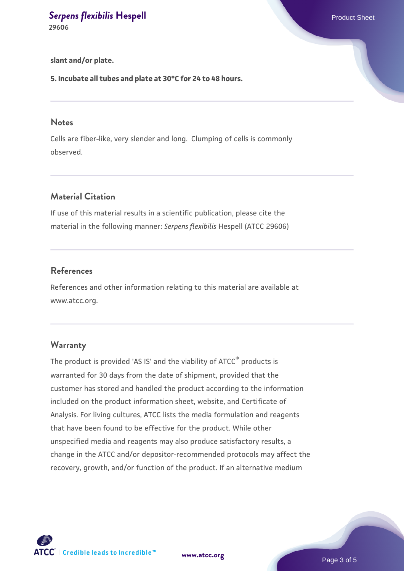**slant and/or plate.**

**5. Incubate all tubes and plate at 30°C for 24 to 48 hours.**

#### **Notes**

Cells are fiber-like, very slender and long. Clumping of cells is commonly observed.

## **Material Citation**

If use of this material results in a scientific publication, please cite the material in the following manner: *Serpens flexibilis* Hespell (ATCC 29606)

### **References**

References and other information relating to this material are available at www.atcc.org.

#### **Warranty**

The product is provided 'AS IS' and the viability of ATCC® products is warranted for 30 days from the date of shipment, provided that the customer has stored and handled the product according to the information included on the product information sheet, website, and Certificate of Analysis. For living cultures, ATCC lists the media formulation and reagents that have been found to be effective for the product. While other unspecified media and reagents may also produce satisfactory results, a change in the ATCC and/or depositor-recommended protocols may affect the recovery, growth, and/or function of the product. If an alternative medium

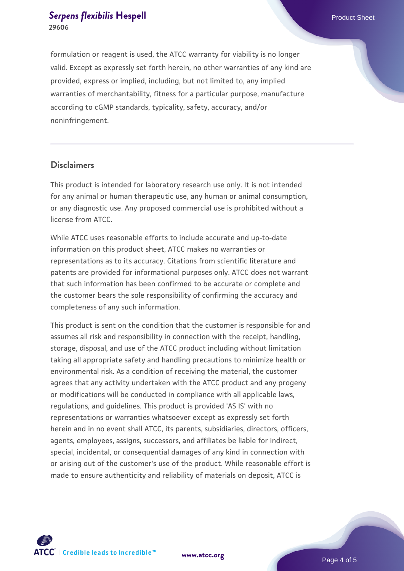formulation or reagent is used, the ATCC warranty for viability is no longer valid. Except as expressly set forth herein, no other warranties of any kind are provided, express or implied, including, but not limited to, any implied warranties of merchantability, fitness for a particular purpose, manufacture according to cGMP standards, typicality, safety, accuracy, and/or noninfringement.

### **Disclaimers**

This product is intended for laboratory research use only. It is not intended for any animal or human therapeutic use, any human or animal consumption, or any diagnostic use. Any proposed commercial use is prohibited without a license from ATCC.

While ATCC uses reasonable efforts to include accurate and up-to-date information on this product sheet, ATCC makes no warranties or representations as to its accuracy. Citations from scientific literature and patents are provided for informational purposes only. ATCC does not warrant that such information has been confirmed to be accurate or complete and the customer bears the sole responsibility of confirming the accuracy and completeness of any such information.

This product is sent on the condition that the customer is responsible for and assumes all risk and responsibility in connection with the receipt, handling, storage, disposal, and use of the ATCC product including without limitation taking all appropriate safety and handling precautions to minimize health or environmental risk. As a condition of receiving the material, the customer agrees that any activity undertaken with the ATCC product and any progeny or modifications will be conducted in compliance with all applicable laws, regulations, and guidelines. This product is provided 'AS IS' with no representations or warranties whatsoever except as expressly set forth herein and in no event shall ATCC, its parents, subsidiaries, directors, officers, agents, employees, assigns, successors, and affiliates be liable for indirect, special, incidental, or consequential damages of any kind in connection with or arising out of the customer's use of the product. While reasonable effort is made to ensure authenticity and reliability of materials on deposit, ATCC is